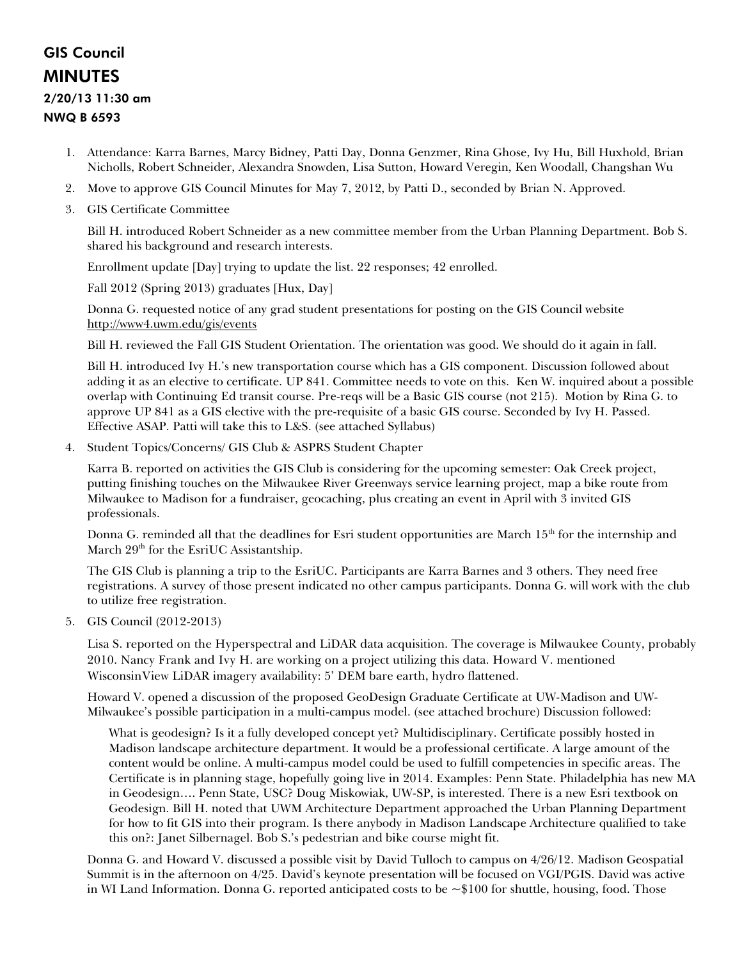# GIS Council MINUTES 2/20/13 11:30 am

# NWQ B 6593

- 1. Attendance: Karra Barnes, Marcy Bidney, Patti Day, Donna Genzmer, Rina Ghose, Ivy Hu, Bill Huxhold, Brian Nicholls, Robert Schneider, Alexandra Snowden, Lisa Sutton, Howard Veregin, Ken Woodall, Changshan Wu
- 2. Move to approve GIS Council Minutes for May 7, 2012, by Patti D., seconded by Brian N. Approved.
- 3. GIS Certificate Committee

Bill H. introduced Robert Schneider as a new committee member from the Urban Planning Department. Bob S. shared his background and research interests.

Enrollment update [Day] trying to update the list. 22 responses; 42 enrolled.

Fall 2012 (Spring 2013) graduates [Hux, Day]

Donna G. requested notice of any grad student presentations for posting on the GIS Council website <http://www4.uwm.edu/gis/events>

Bill H. reviewed the Fall GIS Student Orientation. The orientation was good. We should do it again in fall.

Bill H. introduced Ivy H.'s new transportation course which has a GIS component. Discussion followed about adding it as an elective to certificate. UP 841. Committee needs to vote on this. Ken W. inquired about a possible overlap with Continuing Ed transit course. Pre-reqs will be a Basic GIS course (not 215). Motion by Rina G. to approve UP 841 as a GIS elective with the pre-requisite of a basic GIS course. Seconded by Ivy H. Passed. Effective ASAP. Patti will take this to L&S. (see attached Syllabus)

4. Student Topics/Concerns/ GIS Club & ASPRS Student Chapter

Karra B. reported on activities the GIS Club is considering for the upcoming semester: Oak Creek project, putting finishing touches on the Milwaukee River Greenways service learning project, map a bike route from Milwaukee to Madison for a fundraiser, geocaching, plus creating an event in April with 3 invited GIS professionals.

Donna G. reminded all that the deadlines for Esri student opportunities are March 15<sup>th</sup> for the internship and March  $29<sup>th</sup>$  for the EsriUC Assistantship.

The GIS Club is planning a trip to the EsriUC. Participants are Karra Barnes and 3 others. They need free registrations. A survey of those present indicated no other campus participants. Donna G. will work with the club to utilize free registration.

5. GIS Council (2012-2013)

Lisa S. reported on the Hyperspectral and LiDAR data acquisition. The coverage is Milwaukee County, probably 2010. Nancy Frank and Ivy H. are working on a project utilizing this data. Howard V. mentioned WisconsinView LiDAR imagery availability: 5' DEM bare earth, hydro flattened.

Howard V. opened a discussion of the proposed GeoDesign Graduate Certificate at UW-Madison and UW-Milwaukee's possible participation in a multi-campus model. (see attached brochure) Discussion followed:

What is geodesign? Is it a fully developed concept yet? Multidisciplinary. Certificate possibly hosted in Madison landscape architecture department. It would be a professional certificate. A large amount of the content would be online. A multi-campus model could be used to fulfill competencies in specific areas. The Certificate is in planning stage, hopefully going live in 2014. Examples: Penn State. Philadelphia has new MA in Geodesign…. Penn State, USC? Doug Miskowiak, UW-SP, is interested. There is a new Esri textbook on Geodesign. Bill H. noted that UWM Architecture Department approached the Urban Planning Department for how to fit GIS into their program. Is there anybody in Madison Landscape Architecture qualified to take this on?: Janet Silbernagel. Bob S.'s pedestrian and bike course might fit.

Donna G. and Howard V. discussed a possible visit by David Tulloch to campus on 4/26/12. Madison Geospatial Summit is in the afternoon on 4/25. David's keynote presentation will be focused on VGI/PGIS. David was active in WI Land Information. Donna G. reported anticipated costs to be ~\$100 for shuttle, housing, food. Those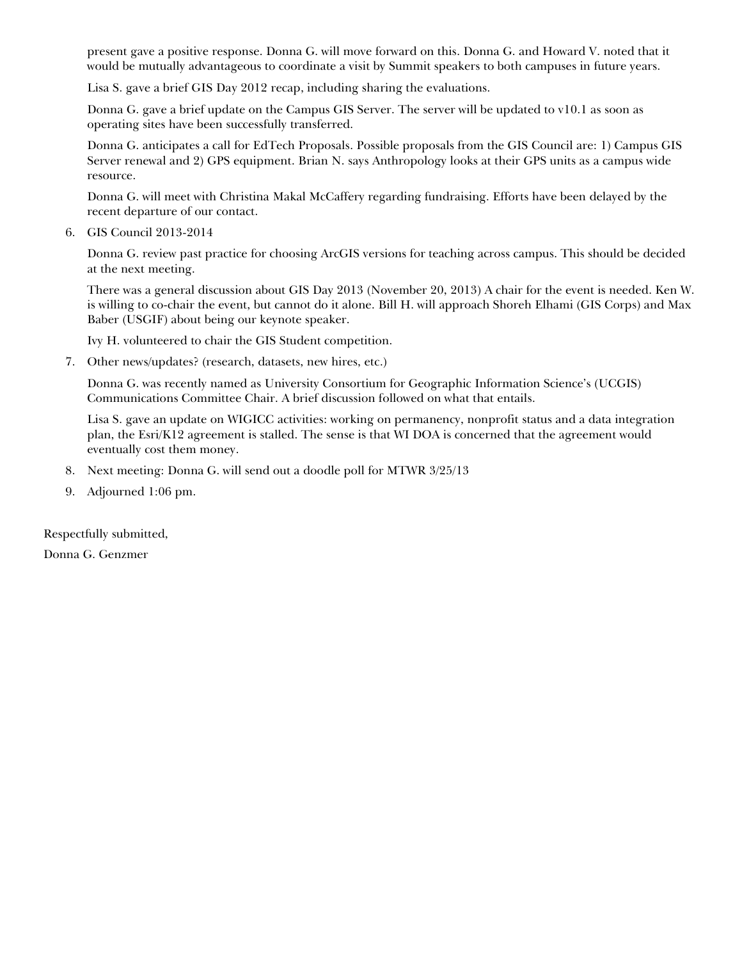present gave a positive response. Donna G. will move forward on this. Donna G. and Howard V. noted that it would be mutually advantageous to coordinate a visit by Summit speakers to both campuses in future years.

Lisa S. gave a brief GIS Day 2012 recap, including sharing the evaluations.

Donna G. gave a brief update on the Campus GIS Server. The server will be updated to v10.1 as soon as operating sites have been successfully transferred.

Donna G. anticipates a call for EdTech Proposals. Possible proposals from the GIS Council are: 1) Campus GIS Server renewal and 2) GPS equipment. Brian N. says Anthropology looks at their GPS units as a campus wide resource.

Donna G. will meet with Christina Makal McCaffery regarding fundraising. Efforts have been delayed by the recent departure of our contact.

6. GIS Council 2013-2014

Donna G. review past practice for choosing ArcGIS versions for teaching across campus. This should be decided at the next meeting.

There was a general discussion about GIS Day 2013 (November 20, 2013) A chair for the event is needed. Ken W. is willing to co-chair the event, but cannot do it alone. Bill H. will approach Shoreh Elhami (GIS Corps) and Max Baber (USGIF) about being our keynote speaker.

Ivy H. volunteered to chair the GIS Student competition.

7. Other news/updates? (research, datasets, new hires, etc.)

Donna G. was recently named as University Consortium for Geographic Information Science's (UCGIS) Communications Committee Chair. A brief discussion followed on what that entails.

Lisa S. gave an update on WIGICC activities: working on permanency, nonprofit status and a data integration plan, the Esri/K12 agreement is stalled. The sense is that WI DOA is concerned that the agreement would eventually cost them money.

- 8. Next meeting: Donna G. will send out a doodle poll for MTWR 3/25/13
- 9. Adjourned 1:06 pm.

Respectfully submitted,

Donna G. Genzmer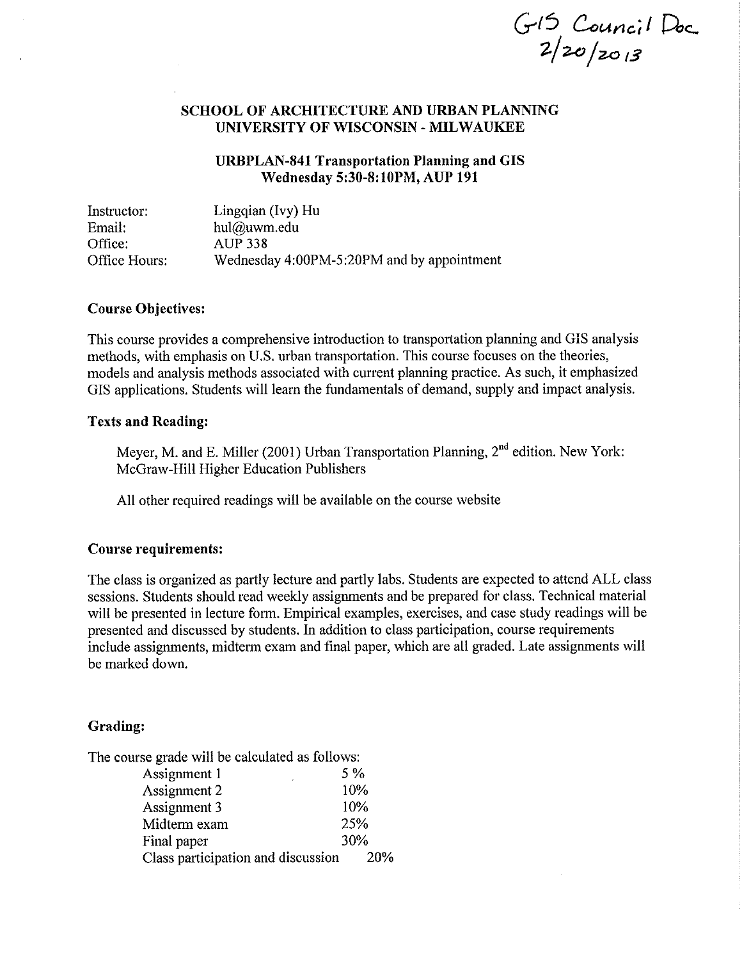$G15$  Council Doc<br>2/20/2013

# **SCHOOL OF ARCHITECTURE AND URBAN PLANNING** UNIVERSITY OF WISCONSIN - MILWAUKEE

# **URBPLAN-841 Transportation Planning and GIS Wednesday 5:30-8:10PM, AUP 191**

Linggian (Ivy) Hu Instructor: Email: hul@uwm.edu **AUP 338** Office: Office Hours: Wednesday 4:00PM-5:20PM and by appointment

# **Course Objectives:**

This course provides a comprehensive introduction to transportation planning and GIS analysis methods, with emphasis on U.S. urban transportation. This course focuses on the theories, models and analysis methods associated with current planning practice. As such, it emphasized GIS applications. Students will learn the fundamentals of demand, supply and impact analysis.

### **Texts and Reading:**

Meyer, M. and E. Miller (2001) Urban Transportation Planning, 2<sup>nd</sup> edition. New York: McGraw-Hill Higher Education Publishers

All other required readings will be available on the course website

# **Course requirements:**

The class is organized as partly lecture and partly labs. Students are expected to attend ALL class sessions. Students should read weekly assignments and be prepared for class. Technical material will be presented in lecture form. Empirical examples, exercises, and case study readings will be presented and discussed by students. In addition to class participation, course requirements include assignments, midterm exam and final paper, which are all graded. Late assignments will be marked down.

# Grading:

The course grade will be calculated as follows:

| Assignment 1                       | $5\%$ |
|------------------------------------|-------|
| Assignment 2                       | 10%   |
| Assignment 3                       | 10%   |
| Midterm exam                       | 25%   |
| Final paper                        | 30%   |
| Class participation and discussion | 20%   |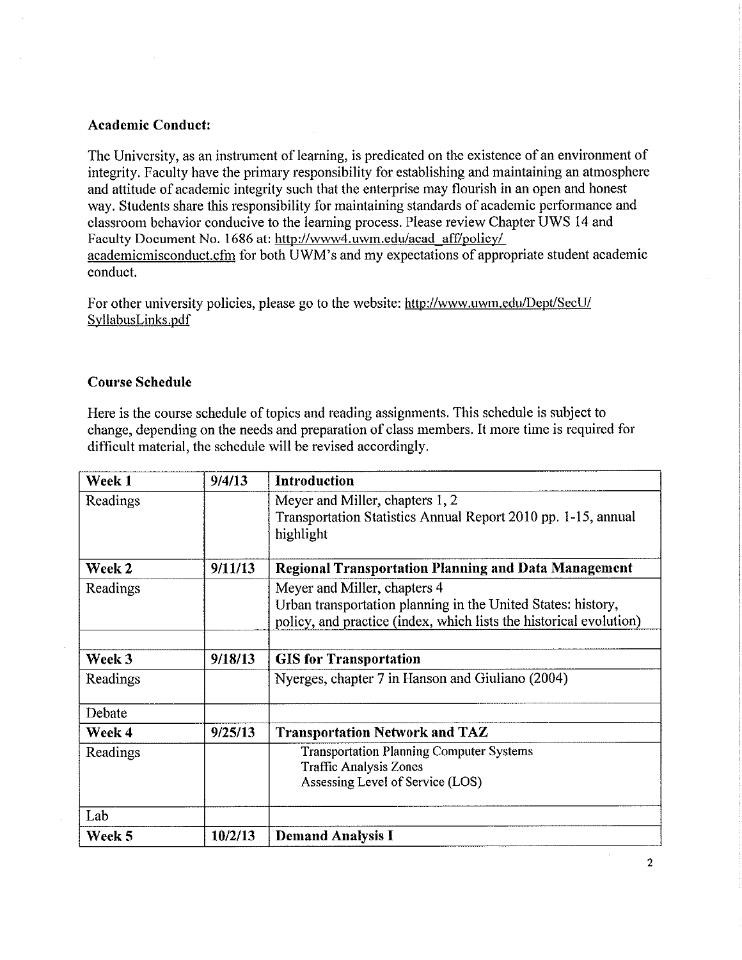# **Academic Conduct:**

The University, as an instrument of learning, is predicated on the existence of an environment of integrity. Faculty have the primary responsibility for establishing and maintaining an atmosphere and attitude of academic integrity such that the enterprise may flourish in an open and honest way. Students share this responsibility for maintaining standards of academic performance and classroom behavior conducive to the learning process. Please review Chapter UWS 14 and Faculty Document No. 1686 at: http://www4.uwm.edu/acad\_aff/policy/ academicmisconduct.cfm for both UWM's and my expectations of appropriate student academic conduct.

For other university policies, please go to the website: http://www.uwm.edu/Dept/SecU/ SyllabusLinks.pdf

# **Course Schedule**

Here is the course schedule of topics and reading assignments. This schedule is subject to change, depending on the needs and preparation of class members. It more time is required for difficult material, the schedule will be revised accordingly.

| Week 1   | 9/4/13  | Introduction                                                                                                                                                       |
|----------|---------|--------------------------------------------------------------------------------------------------------------------------------------------------------------------|
| Readings |         | Meyer and Miller, chapters 1, 2<br>Transportation Statistics Annual Report 2010 pp. 1-15, annual<br>highlight                                                      |
| Week 2   | 9/11/13 | <b>Regional Transportation Planning and Data Management</b>                                                                                                        |
| Readings |         | Meyer and Miller, chapters 4<br>Urban transportation planning in the United States: history,<br>policy, and practice (index, which lists the historical evolution) |
| Week 3   | 9/18/13 | <b>GIS</b> for Transportation                                                                                                                                      |
| Readings |         | Nyerges, chapter 7 in Hanson and Giuliano (2004)                                                                                                                   |
| Debate   |         |                                                                                                                                                                    |
| Week 4   | 9/25/13 | <b>Transportation Network and TAZ</b>                                                                                                                              |
| Readings |         | <b>Transportation Planning Computer Systems</b><br><b>Traffic Analysis Zones</b><br>Assessing Level of Service (LOS)                                               |
| Lab      |         |                                                                                                                                                                    |
| Week 5   | 10/2/13 | <b>Demand Analysis I</b>                                                                                                                                           |

 $\overline{2}$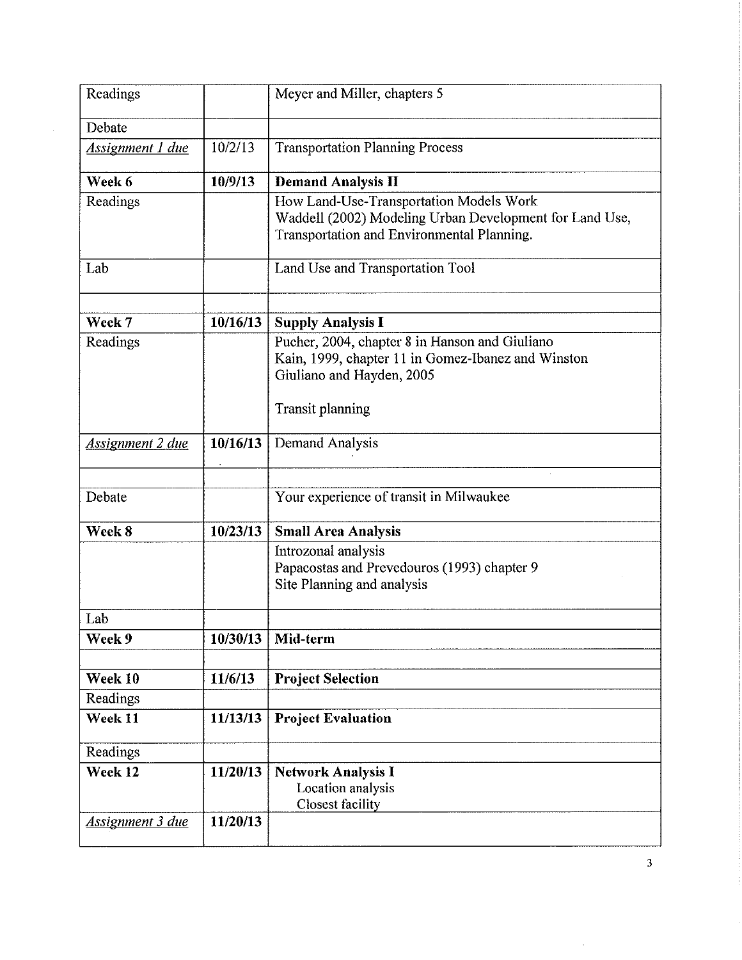| Readings                |          | Meyer and Miller, chapters 5                                                                                                                                 |
|-------------------------|----------|--------------------------------------------------------------------------------------------------------------------------------------------------------------|
| Debate                  |          |                                                                                                                                                              |
| <b>Assignment 1 due</b> | 10/2/13  | <b>Transportation Planning Process</b>                                                                                                                       |
| Week 6                  | 10/9/13  | <b>Demand Analysis II</b>                                                                                                                                    |
| Readings                |          | How Land-Use-Transportation Models Work<br>Waddell (2002) Modeling Urban Development for Land Use,<br>Transportation and Environmental Planning.             |
| Lab                     |          | Land Use and Transportation Tool                                                                                                                             |
| Week 7                  | 10/16/13 | <b>Supply Analysis I</b>                                                                                                                                     |
| Readings                |          | Pucher, 2004, chapter 8 in Hanson and Giuliano<br>Kain, 1999, chapter 11 in Gomez-Ibanez and Winston<br>Giuliano and Hayden, 2005<br><b>Transit planning</b> |
| <b>Assignment 2 due</b> | 10/16/13 | Demand Analysis                                                                                                                                              |
| Debate                  |          | Your experience of transit in Milwaukee                                                                                                                      |
| Week 8                  | 10/23/13 | <b>Small Area Analysis</b>                                                                                                                                   |
|                         |          | Introzonal analysis<br>Papacostas and Prevedouros (1993) chapter 9<br>Site Planning and analysis                                                             |
| Lab                     |          |                                                                                                                                                              |
| Week 9                  | 10/30/13 | Mid-term                                                                                                                                                     |
| Week 10                 | 11/6/13  | <b>Project Selection</b>                                                                                                                                     |
| Readings                |          |                                                                                                                                                              |
| Week 11                 | 11/13/13 | <b>Project Evaluation</b>                                                                                                                                    |
| Readings                |          |                                                                                                                                                              |
| Week 12                 | 11/20/13 | <b>Network Analysis I</b><br>Location analysis<br><b>Closest facility</b>                                                                                    |
| <b>Assignment 3 due</b> | 11/20/13 |                                                                                                                                                              |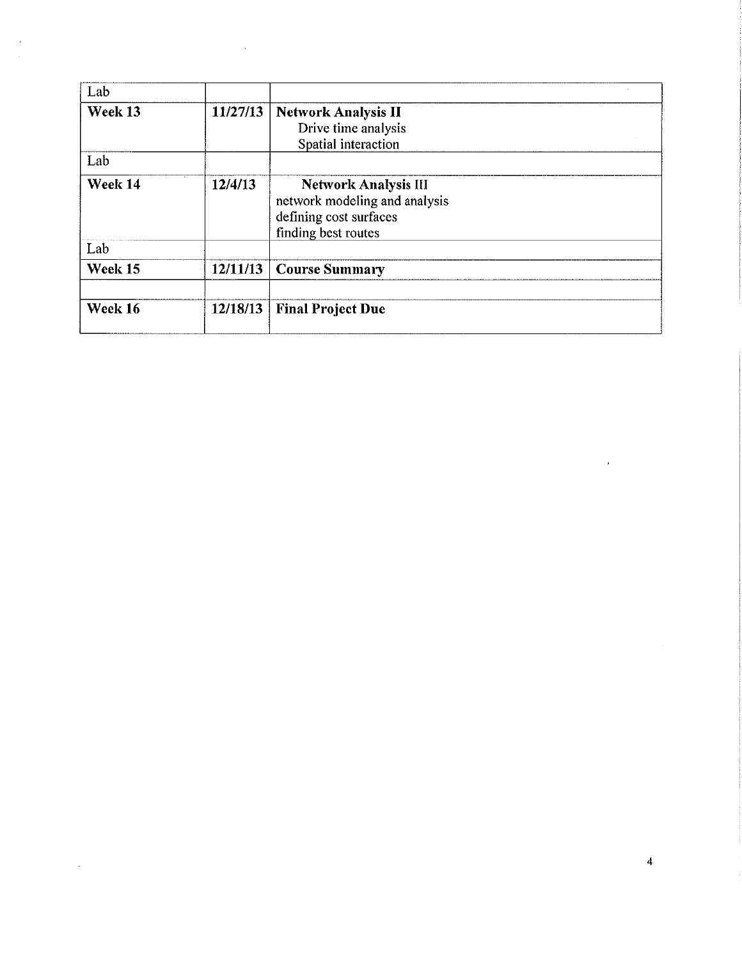| Lab     |          |                                                                                                               |
|---------|----------|---------------------------------------------------------------------------------------------------------------|
| Week 13 | 11/27/13 | <b>Network Analysis II</b><br>Drive time analysis<br>Spatial interaction                                      |
| Lab     |          |                                                                                                               |
| Week 14 | 12/4/13  | <b>Network Analysis III</b><br>network modeling and analysis<br>defining cost surfaces<br>finding best routes |
| Lab     |          |                                                                                                               |
| Week 15 | 12/11/13 | <b>Course Summary</b>                                                                                         |
| Week 16 | 12/18/13 | <b>Final Project Due</b>                                                                                      |

 $\label{eq:2.1} \frac{1}{2} \int_{\mathbb{R}^3} \frac{1}{\sqrt{2}} \, \frac{1}{\sqrt{2}} \, \frac{1}{\sqrt{2}} \, \frac{1}{\sqrt{2}} \, \frac{1}{\sqrt{2}} \, \frac{1}{\sqrt{2}} \, \frac{1}{\sqrt{2}} \, \frac{1}{\sqrt{2}} \, \frac{1}{\sqrt{2}} \, \frac{1}{\sqrt{2}} \, \frac{1}{\sqrt{2}} \, \frac{1}{\sqrt{2}} \, \frac{1}{\sqrt{2}} \, \frac{1}{\sqrt{2}} \, \frac{1}{\sqrt{2}} \, \frac{1}{\sqrt{2}} \,$ 

 $\frac{4}{3}$ 

 $\label{eq:2.1} \frac{1}{\sqrt{2}}\left(\frac{1}{\sqrt{2}}\right)^{2} \left(\frac{1}{\sqrt{2}}\right)^{2} \left(\frac{1}{\sqrt{2}}\right)^{2} \left(\frac{1}{\sqrt{2}}\right)^{2} \left(\frac{1}{\sqrt{2}}\right)^{2} \left(\frac{1}{\sqrt{2}}\right)^{2} \left(\frac{1}{\sqrt{2}}\right)^{2} \left(\frac{1}{\sqrt{2}}\right)^{2} \left(\frac{1}{\sqrt{2}}\right)^{2} \left(\frac{1}{\sqrt{2}}\right)^{2} \left(\frac{1}{\sqrt{2}}\right)^{2} \left(\$ 

 $\label{eq:2.1} \frac{1}{\sqrt{2\pi}}\sum_{i=1}^N\frac{1}{\sqrt{2\pi}}\sum_{i=1}^N\frac{1}{\sqrt{2\pi}}\sum_{i=1}^N\frac{1}{\sqrt{2\pi}}\sum_{i=1}^N\frac{1}{\sqrt{2\pi}}\sum_{i=1}^N\frac{1}{\sqrt{2\pi}}\sum_{i=1}^N\frac{1}{\sqrt{2\pi}}\sum_{i=1}^N\frac{1}{\sqrt{2\pi}}\sum_{i=1}^N\frac{1}{\sqrt{2\pi}}\sum_{i=1}^N\frac{1}{\sqrt{2\pi}}\sum_{i=1}^N\$ 

 $\label{eq:2.1} \mathcal{L}(\mathcal{L}^{\text{max}}_{\mathcal{L}}(\mathcal{L}^{\text{max}}_{\mathcal{L}})) \leq \mathcal{L}(\mathcal{L}^{\text{max}}_{\mathcal{L}}(\mathcal{L}^{\text{max}}_{\mathcal{L}}))$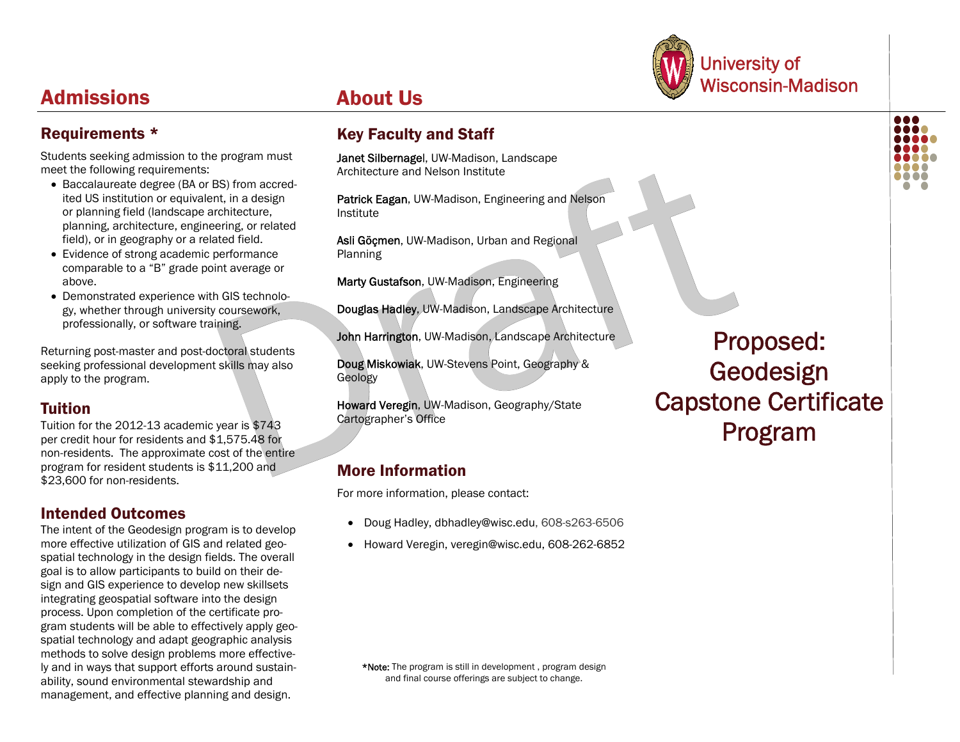# University of About Us **About Us** Nisconsin-Madison

... 88 E

# Admissions

# Requirements \*

Students seeking admission to the program must meet the following requirements:

- Baccalaureate degree (BA or BS) from accredited US institution or equivalent, in a design or planning field (landscape architecture, planning, architecture, engineering, or related field), or in geography or a related field.
- Evidence of strong academic performance comparable to a "B" grade point average or above.
- **Demonstrated experience with GIS technolo**gy, whether through university coursework, professionally, or software training.

Returning post-master and post-doctoral students seeking professional development skills may also apply to the program.

# Tuition

Tuition for the 2012-13 academic year is \$743 per credit hour for residents and \$1,575.48 for non-residents. The approximate cost of the entire program for resident students is \$11,200 and \$23,600 for non-residents.

# Intended Outcomes

The intent of the Geodesign program is to develop more effective utilization of GIS and related geospatial technology in the design fields. The overall goal is to allow participants to build on their design and GIS experience to develop new skillsets integrating geospatial software into the design process. Upon completion of the certificate program students will be able to effectively apply geospatial technology and adapt geographic analysis methods to solve design problems more effectively and in ways that support efforts around sustainability, sound environmental stewardship and management, and effective planning and design.

# Key Faculty and Staff

Janet Silbernagel, UW-Madison, Landscape Architecture and Nelson Institute

Patrick Eagan, UW-Madison, Engineering and Nelson Institute

Asli Göçmen, UW-Madison, Urban and Regional Planning

Marty Gustafson, UW-Madison, Engineering

Douglas Hadley, UW-Madison, Landscape Architecture

John Harrington, UW-Madison, Landscape Architecture

Doug Miskowiak, UW-Stevens Point, Geography & Geology

Howard Veregin, UW-Madison, Geography/State Cartographer's Office

# More Information

For more information, please contact:

- Doug Hadley, dbhadley@wisc.edu, 608-s263-6506
- Howard Veregin, veregin@wisc.edu, 608-262-6852

\*Note: The program is still in development , program design and final course offerings are subject to change.

Proposed: Geodesign Capstone Certificate Program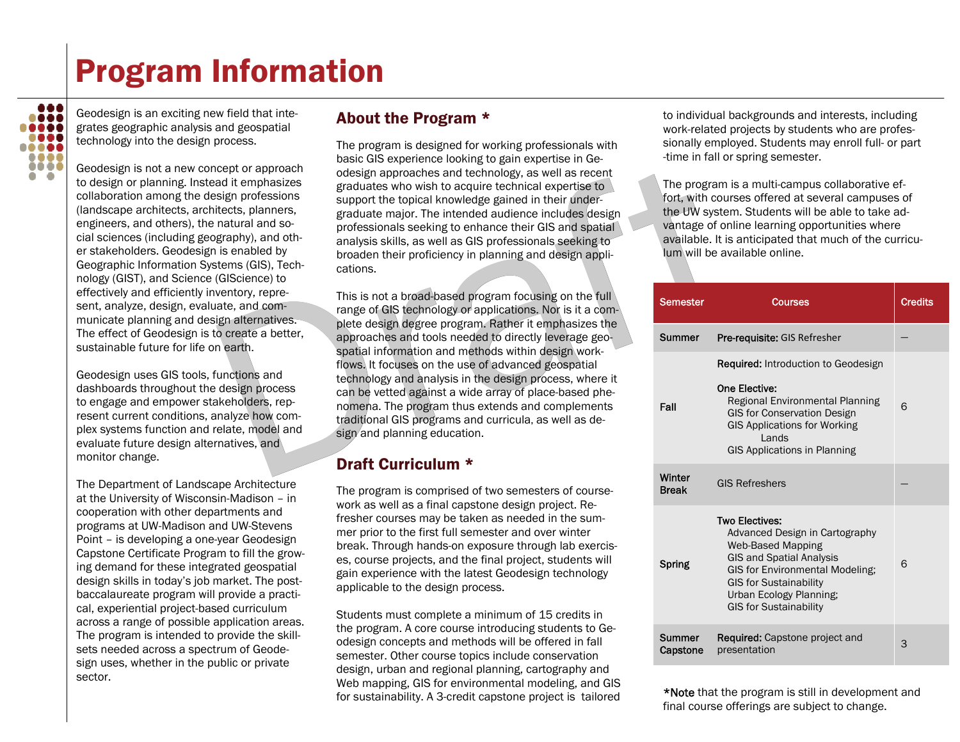# Program Information



Geodesign is an exciting new field that integrates geographic analysis and geospatial technology into the design process.

Geodesign is not a new concept or approach to design or planning. Instead it emphasizes collaboration among the design professions (landscape architects, architects, planners, engineers, and others), the natural and social sciences (including geography), and other stakeholders. Geodesign is enabled by Geographic Information Systems (GIS), Technology (GIST), and Science (GIScience) to effectively and efficiently inventory, represent, analyze, design, evaluate, and communicate planning and design alternatives. The effect of Geodesign is to create a better, sustainable future for life on earth.

Geodesign uses GIS tools, functions and dashboards throughout the design process to engage and empower stakeholders, represent current conditions, analyze how complex systems function and relate, model and evaluate future design alternatives, and monitor change.

The Department of Landscape Architecture at the University of Wisconsin-Madison – in cooperation with other departments and programs at UW-Madison and UW-Stevens Point – is developing a one-year Geodesign Capstone Certificate Program to fill the growing demand for these integrated geospatial design skills in today's job market. The postbaccalaureate program will provide a practical, experiential project-based curriculum across a range of possible application areas. The program is intended to provide the skillsets needed across a spectrum of Geodesign uses, whether in the public or private sector.

# About the Program \*

The program is designed for working professionals with basic GIS experience looking to gain expertise in Geodesign approaches and technology, as well as recent graduates who wish to acquire technical expertise to support the topical knowledge gained in their undergraduate major. The intended audience includes design professionals seeking to enhance their GIS and spatial analysis skills, as well as GIS professionals seeking to broaden their proficiency in planning and design applications.

This is not a broad-based program focusing on the full range of GIS technology or applications. Nor is it a complete design degree program. Rather it emphasizes the approaches and tools needed to directly leverage geospatial information and methods within design workflows. It focuses on the use of advanced geospatial technology and analysis in the design process, where it can be vetted against a wide array of place-based phenomena. The program thus extends and complements traditional GIS programs and curricula, as well as design and planning education.

# Draft Curriculum \*

The program is comprised of two semesters of coursework as well as a final capstone design project. Refresher courses may be taken as needed in the summer prior to the first full semester and over winter break. Through hands-on exposure through lab exercises, course projects, and the final project, students will gain experience with the latest Geodesign technology applicable to the design process.

Students must complete a minimum of 15 credits in the program. A core course introducing students to Geodesign concepts and methods will be offered in fall semester. Other course topics include conservation design, urban and regional planning, cartography and Web mapping, GIS for environmental modeling, and GIS for sustainability. A 3-credit capstone project is tailored

to individual backgrounds and interests, including work-related projects by students who are professionally employed. Students may enroll full- or part -time in fall or spring semester.

The program is a multi-campus collaborative effort, with courses offered at several campuses of the UW system. Students will be able to take advantage of online learning opportunities where available. It is anticipated that much of the curriculum will be available online.

| <b>Semester</b>        | Courses                                                                                                                                                                                                                                                       | <b>Credits</b> |
|------------------------|---------------------------------------------------------------------------------------------------------------------------------------------------------------------------------------------------------------------------------------------------------------|----------------|
| Summer                 | Pre-requisite: GIS Refresher                                                                                                                                                                                                                                  |                |
| Fall                   | <b>Required:</b> Introduction to Geodesign<br>One Elective:<br>Regional Environmental Planning<br><b>GIS for Conservation Design</b><br><b>GIS Applications for Working</b><br><b>Lands</b><br><b>GIS Applications in Planning</b>                            | 6              |
| Winter<br><b>Break</b> | <b>GIS Refreshers</b>                                                                                                                                                                                                                                         |                |
| Spring                 | <b>Two Electives:</b><br>Advanced Design in Cartography<br><b>Web-Based Mapping</b><br><b>GIS and Spatial Analysis</b><br><b>GIS for Environmental Modeling:</b><br><b>GIS for Sustainability</b><br>Urban Ecology Planning;<br><b>GIS for Sustainability</b> | 6              |
| Summer<br>Capstone     | <b>Required:</b> Capstone project and<br>presentation                                                                                                                                                                                                         | 3              |

\*Note that the program is still in development and final course offerings are subject to change.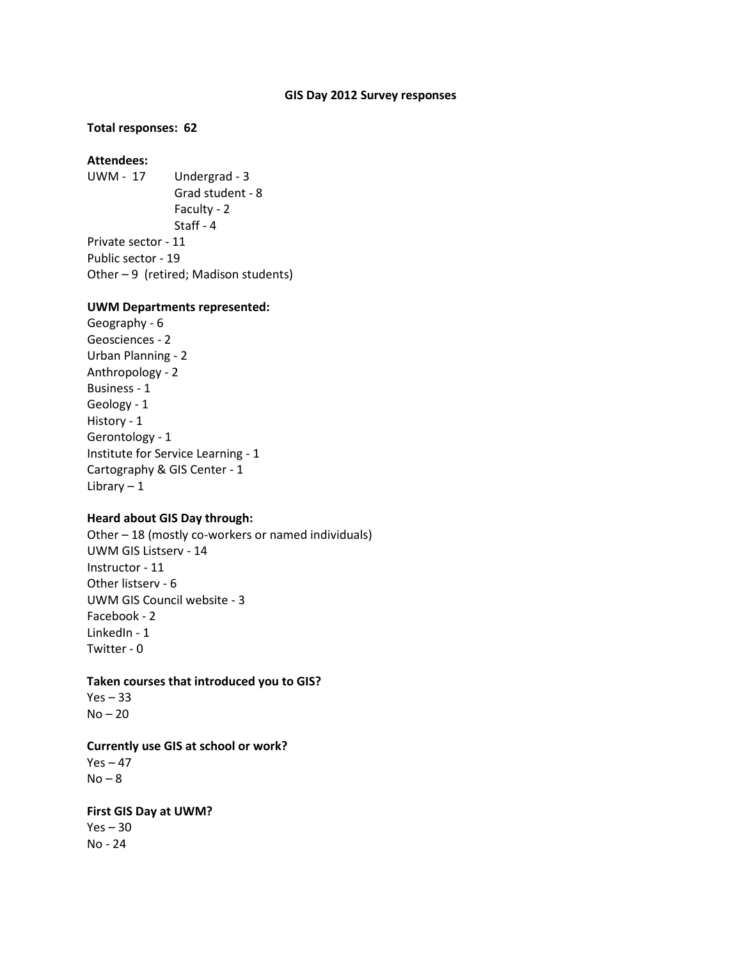#### **GIS Day 2012 Survey responses**

#### **Total responses: 62**

# **Attendees:**

UWM - 17 Undergrad - 3 Grad student - 8 Faculty - 2 Staff - 4 Private sector - 11 Public sector - 19 Other – 9 (retired; Madison students)

#### **UWM Departments represented:**

Geography - 6 Geosciences - 2 Urban Planning - 2 Anthropology - 2 Business - 1 Geology - 1 History - 1 Gerontology - 1 Institute for Service Learning - 1 Cartography & GIS Center - 1 Library  $-1$ 

#### **Heard about GIS Day through:**

Other – 18 (mostly co-workers or named individuals) UWM GIS Listserv - 14 Instructor - 11 Other listserv - 6 UWM GIS Council website - 3 Facebook - 2 LinkedIn - 1 Twitter - 0

#### **Taken courses that introduced you to GIS?**

 $Yes - 33$  $No - 20$ 

### **Currently use GIS at school or work?**

 $Yes - 47$  $No - 8$ 

### **First GIS Day at UWM?**

 $Yes - 30$ No - 24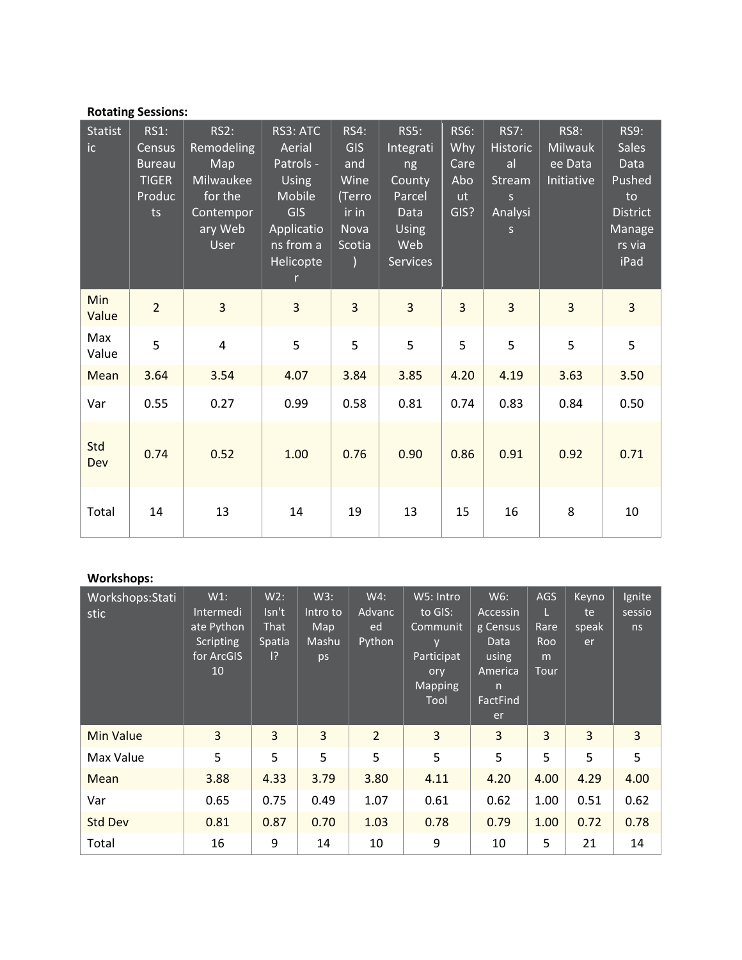# **Rotating Sessions:**

| Statist<br>ic | <b>RS1:</b><br>Census<br><b>Bureau</b><br><b>TIGER</b><br>Produc<br>ts | RS2:<br>Remodeling<br>Map<br>Milwaukee<br>for the<br>Contempor<br>ary Web<br>User | RS3: ATC<br>Aerial<br>Patrols -<br><b>Using</b><br>Mobile<br><b>GIS</b><br>Applicatio<br>$ns$ from $a$<br>Helicopte<br>$\mathsf{r}$ | <b>RS4:</b><br>GIS<br>and<br>Wine<br>(Terro<br>ir in<br>Nova<br>Scotia | <b>RS5:</b><br>Integrati<br>ng<br>County<br>Parcel<br>Data<br>Using<br>Web<br><b>Services</b> | <b>RS6:</b><br>Why<br>Care<br>Abo<br><b>ut</b><br>GIS? | <b>RS7:</b><br><b>Historic</b><br>al<br>Stream<br>S<br>Analysi<br>$\mathsf{S}$ | <b>RS8:</b><br><b>Milwauk</b><br>ee Data<br>Initiative | <b>RS9:</b><br><b>Sales</b><br>Data<br>Pushed<br>to<br><b>District</b><br>Manage<br>rs via<br>iPad |
|---------------|------------------------------------------------------------------------|-----------------------------------------------------------------------------------|-------------------------------------------------------------------------------------------------------------------------------------|------------------------------------------------------------------------|-----------------------------------------------------------------------------------------------|--------------------------------------------------------|--------------------------------------------------------------------------------|--------------------------------------------------------|----------------------------------------------------------------------------------------------------|
| Min<br>Value  | $\overline{2}$                                                         | 3                                                                                 | 3                                                                                                                                   | 3                                                                      | 3                                                                                             | $\overline{3}$                                         | $\overline{3}$                                                                 | $\overline{3}$                                         | $\overline{3}$                                                                                     |
| Max<br>Value  | 5                                                                      | $\overline{4}$                                                                    | 5                                                                                                                                   | 5                                                                      | 5                                                                                             | 5                                                      | 5                                                                              | 5                                                      | 5                                                                                                  |
| Mean          | 3.64                                                                   | 3.54                                                                              | 4.07                                                                                                                                | 3.84                                                                   | 3.85                                                                                          | 4.20                                                   | 4.19                                                                           | 3.63                                                   | 3.50                                                                                               |
| Var           | 0.55                                                                   | 0.27                                                                              | 0.99                                                                                                                                | 0.58                                                                   | 0.81                                                                                          | 0.74                                                   | 0.83                                                                           | 0.84                                                   | 0.50                                                                                               |
| Std<br>Dev    | 0.74                                                                   | 0.52                                                                              | 1.00                                                                                                                                | 0.76                                                                   | 0.90                                                                                          | 0.86                                                   | 0.91                                                                           | 0.92                                                   | 0.71                                                                                               |
| Total         | 14                                                                     | 13                                                                                | 14                                                                                                                                  | 19                                                                     | 13                                                                                            | 15                                                     | 16                                                                             | 8                                                      | 10                                                                                                 |

# Workshops:

| Workshops:Stati<br>stic | $W1$ :<br>Intermedi<br>ate Python<br>Scripting<br>for ArcGIS<br>10 <sup>°</sup> | W2:<br>$\mathsf{Isn't}$<br>That<br>Spatia<br> ? | W3:<br>Intro to<br>Map<br>Mashu<br>ps | W4:<br>Advanc<br>ed<br>Python | W5: Intro<br>to GIS:<br>Communit<br>v<br>Participat<br>ory<br>Mapping<br>Tool | W6:<br>Accessin<br>g Census<br>Data<br>using<br>America<br>n<br>FactFind<br>er | AGS<br>Rare<br>Roo<br>m<br><b>Tour</b> | Keyno<br>te<br>speak<br>er | Ignite<br>sessio<br>ns |
|-------------------------|---------------------------------------------------------------------------------|-------------------------------------------------|---------------------------------------|-------------------------------|-------------------------------------------------------------------------------|--------------------------------------------------------------------------------|----------------------------------------|----------------------------|------------------------|
| <b>Min Value</b>        | 3                                                                               | $\overline{3}$                                  | $\overline{3}$                        | $\overline{2}$                | 3                                                                             | 3                                                                              | 3                                      | 3                          | 3                      |
| Max Value               | 5                                                                               | 5                                               | 5                                     | 5                             | 5                                                                             | 5                                                                              | 5                                      | 5                          | 5                      |
| Mean                    | 3.88                                                                            | 4.33                                            | 3.79                                  | 3.80                          | 4.11                                                                          | 4.20                                                                           | 4.00                                   | 4.29                       | 4.00                   |
| Var                     | 0.65                                                                            | 0.75                                            | 0.49                                  | 1.07                          | 0.61                                                                          | 0.62                                                                           | 1.00                                   | 0.51                       | 0.62                   |
| <b>Std Dev</b>          | 0.81                                                                            | 0.87                                            | 0.70                                  | 1.03                          | 0.78                                                                          | 0.79                                                                           | 1.00                                   | 0.72                       | 0.78                   |
| Total                   | 16                                                                              | 9                                               | 14                                    | 10                            | 9                                                                             | 10                                                                             | 5                                      | 21                         | 14                     |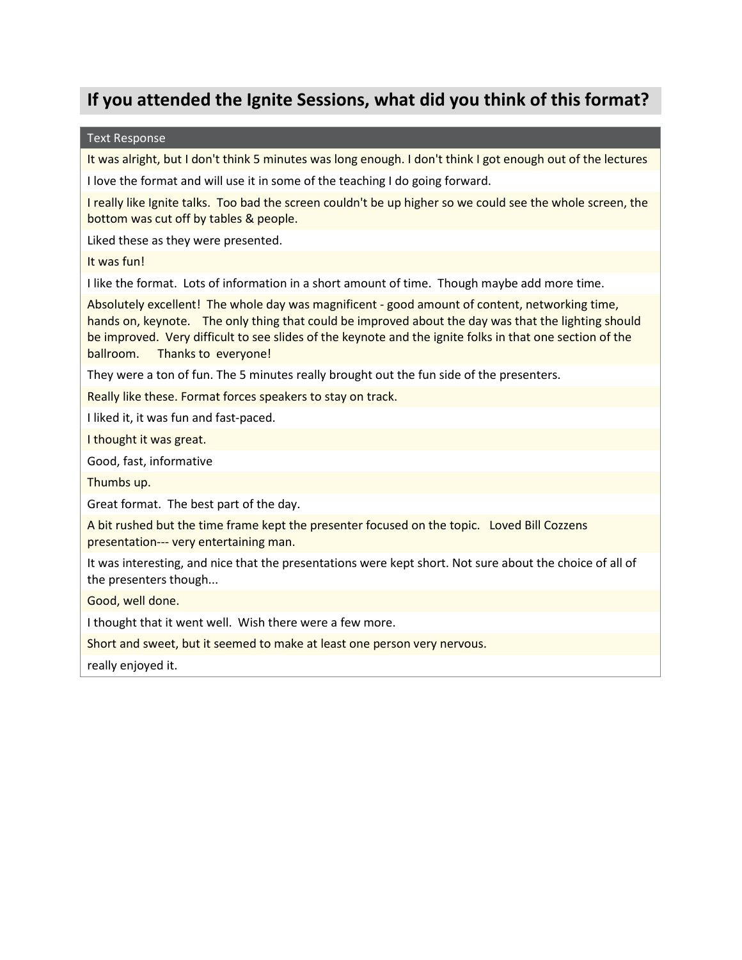# **If you attended the Ignite Sessions, what did you think of this format?**

#### Text Response

It was alright, but I don't think 5 minutes was long enough. I don't think I got enough out of the lectures

I love the format and will use it in some of the teaching I do going forward.

I really like Ignite talks. Too bad the screen couldn't be up higher so we could see the whole screen, the bottom was cut off by tables & people.

Liked these as they were presented.

It was fun!

I like the format. Lots of information in a short amount of time. Though maybe add more time.

Absolutely excellent! The whole day was magnificent - good amount of content, networking time, hands on, keynote. The only thing that could be improved about the day was that the lighting should be improved. Very difficult to see slides of the keynote and the ignite folks in that one section of the ballroom. Thanks to everyone!

They were a ton of fun. The 5 minutes really brought out the fun side of the presenters.

Really like these. Format forces speakers to stay on track.

I liked it, it was fun and fast-paced.

I thought it was great.

Good, fast, informative

Thumbs up.

Great format. The best part of the day.

A bit rushed but the time frame kept the presenter focused on the topic. Loved Bill Cozzens presentation--- very entertaining man.

It was interesting, and nice that the presentations were kept short. Not sure about the choice of all of the presenters though...

Good, well done.

I thought that it went well. Wish there were a few more.

Short and sweet, but it seemed to make at least one person very nervous.

really enjoyed it.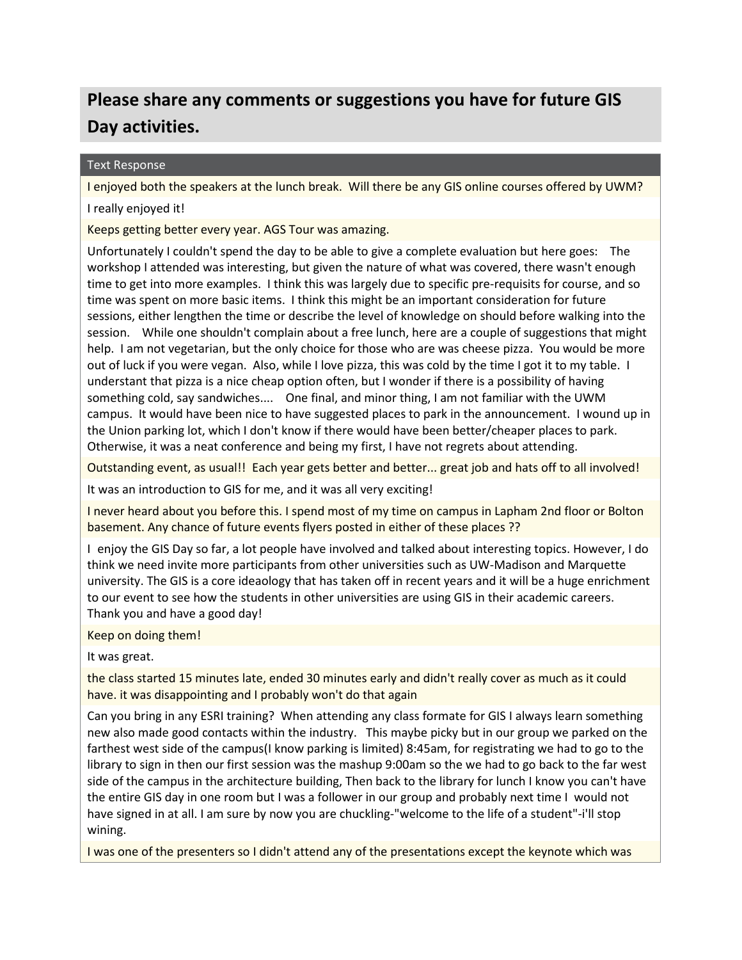# **Please share any comments or suggestions you have for future GIS Day activities.**

### Text Response

I enjoyed both the speakers at the lunch break. Will there be any GIS online courses offered by UWM?

I really enjoyed it!

Keeps getting better every year. AGS Tour was amazing.

Unfortunately I couldn't spend the day to be able to give a complete evaluation but here goes: The workshop I attended was interesting, but given the nature of what was covered, there wasn't enough time to get into more examples. I think this was largely due to specific pre-requisits for course, and so time was spent on more basic items. I think this might be an important consideration for future sessions, either lengthen the time or describe the level of knowledge on should before walking into the session. While one shouldn't complain about a free lunch, here are a couple of suggestions that might help. I am not vegetarian, but the only choice for those who are was cheese pizza. You would be more out of luck if you were vegan. Also, while I love pizza, this was cold by the time I got it to my table. I understant that pizza is a nice cheap option often, but I wonder if there is a possibility of having something cold, say sandwiches.... One final, and minor thing, I am not familiar with the UWM campus. It would have been nice to have suggested places to park in the announcement. I wound up in the Union parking lot, which I don't know if there would have been better/cheaper places to park. Otherwise, it was a neat conference and being my first, I have not regrets about attending.

Outstanding event, as usual!! Each year gets better and better... great job and hats off to all involved!

It was an introduction to GIS for me, and it was all very exciting!

I never heard about you before this. I spend most of my time on campus in Lapham 2nd floor or Bolton basement. Any chance of future events flyers posted in either of these places ??

I enjoy the GIS Day so far, a lot people have involved and talked about interesting topics. However, I do think we need invite more participants from other universities such as UW-Madison and Marquette university. The GIS is a core ideaology that has taken off in recent years and it will be a huge enrichment to our event to see how the students in other universities are using GIS in their academic careers. Thank you and have a good day!

Keep on doing them!

It was great.

the class started 15 minutes late, ended 30 minutes early and didn't really cover as much as it could have. it was disappointing and I probably won't do that again

Can you bring in any ESRI training? When attending any class formate for GIS I always learn something new also made good contacts within the industry. This maybe picky but in our group we parked on the farthest west side of the campus(I know parking is limited) 8:45am, for registrating we had to go to the library to sign in then our first session was the mashup 9:00am so the we had to go back to the far west side of the campus in the architecture building, Then back to the library for lunch I know you can't have the entire GIS day in one room but I was a follower in our group and probably next time I would not have signed in at all. I am sure by now you are chuckling-"welcome to the life of a student"-i'll stop wining.

I was one of the presenters so I didn't attend any of the presentations except the keynote which was